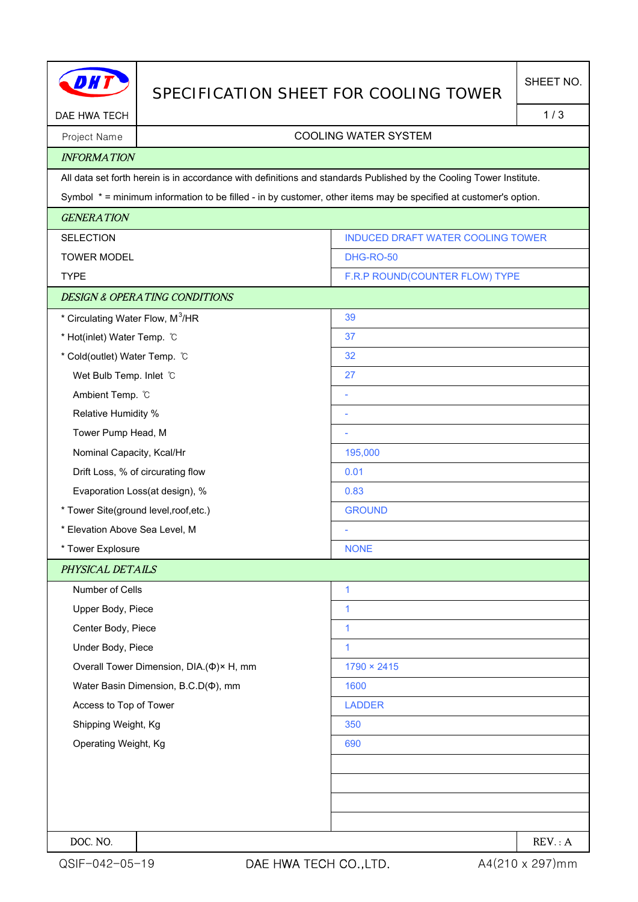|                                              | SPECIFICATION SHEET FOR COOLING TOWER    |                                                                                                                     | SHEET NO. |
|----------------------------------------------|------------------------------------------|---------------------------------------------------------------------------------------------------------------------|-----------|
| DAE HWA TECH                                 |                                          |                                                                                                                     |           |
| Project Name                                 | <b>COOLING WATER SYSTEM</b>              |                                                                                                                     |           |
| <b>INFORMATION</b>                           |                                          |                                                                                                                     |           |
|                                              |                                          | All data set forth herein is in accordance with definitions and standards Published by the Cooling Tower Institute. |           |
|                                              |                                          | Symbol * = minimum information to be filled - in by customer, other items may be specified at customer's option.    |           |
| <b>GENERATION</b>                            |                                          |                                                                                                                     |           |
| <b>SELECTION</b>                             |                                          | INDUCED DRAFT WATER COOLING TOWER                                                                                   |           |
| <b>TOWER MODEL</b>                           |                                          | <b>DHG-RO-50</b>                                                                                                    |           |
| <b>TYPE</b>                                  |                                          | F.R.P ROUND(COUNTER FLOW) TYPE                                                                                      |           |
|                                              | <b>DESIGN &amp; OPERATING CONDITIONS</b> |                                                                                                                     |           |
| * Circulating Water Flow, M <sup>3</sup> /HR |                                          | 39                                                                                                                  |           |
| * Hot(inlet) Water Temp. C                   |                                          | 37                                                                                                                  |           |
| * Cold(outlet) Water Temp. °C                |                                          | 32                                                                                                                  |           |
| Wet Bulb Temp. Inlet C                       |                                          | 27                                                                                                                  |           |
| Ambient Temp. °C                             |                                          |                                                                                                                     |           |
| Relative Humidity %                          |                                          |                                                                                                                     |           |
| Tower Pump Head, M                           |                                          |                                                                                                                     |           |
| Nominal Capacity, Kcal/Hr                    |                                          | 195,000                                                                                                             |           |
|                                              | Drift Loss, % of circurating flow        | 0.01                                                                                                                |           |
| Evaporation Loss(at design), %               |                                          | 0.83                                                                                                                |           |
| * Tower Site(ground level, roof, etc.)       |                                          | <b>GROUND</b>                                                                                                       |           |
| * Elevation Above Sea Level, M               |                                          |                                                                                                                     |           |
| * Tower Explosure                            |                                          | <b>NONE</b>                                                                                                         |           |
| PHYSICAL DETAILS                             |                                          |                                                                                                                     |           |
| Number of Cells                              |                                          | $\mathbf{1}$                                                                                                        |           |
| Upper Body, Piece                            |                                          | 1                                                                                                                   |           |
| Center Body, Piece                           |                                          | $\mathbf{1}$                                                                                                        |           |
| Under Body, Piece                            |                                          | $\mathbf{1}$                                                                                                        |           |
|                                              | Overall Tower Dimension, DIA.(Φ)× H, mm  | $1790 \times 2415$                                                                                                  |           |
| Water Basin Dimension, B.C.D( $\Phi$ ), mm   |                                          | 1600                                                                                                                |           |
| Access to Top of Tower                       |                                          | <b>LADDER</b>                                                                                                       |           |
| Shipping Weight, Kg                          |                                          | 350                                                                                                                 |           |
| Operating Weight, Kg                         |                                          | 690                                                                                                                 |           |
|                                              |                                          |                                                                                                                     |           |
|                                              |                                          |                                                                                                                     |           |
|                                              |                                          |                                                                                                                     |           |
|                                              |                                          |                                                                                                                     |           |
| DOC. NO.                                     |                                          |                                                                                                                     | REV: A    |

H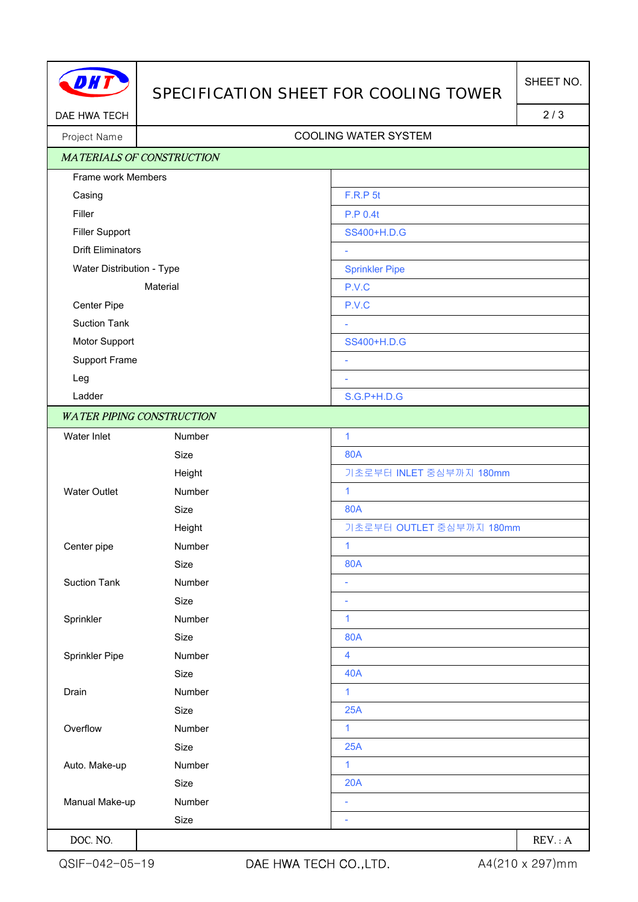

## SPECIFICATION SHEET FOR COOLING TOWER

DAE HWA TECH 2/3

## Project Name Name COOLING WATER SYSTEM

|                           | <b>MATERIALS OF CONSTRUCTION</b> |                          |
|---------------------------|----------------------------------|--------------------------|
| Frame work Members        |                                  |                          |
| Casing                    |                                  | <b>F.R.P 5t</b>          |
| Filler                    |                                  | <b>P.P 0.4t</b>          |
| <b>Filler Support</b>     |                                  | SS400+H.D.G              |
| <b>Drift Eliminators</b>  |                                  | ÷                        |
| Water Distribution - Type |                                  | <b>Sprinkler Pipe</b>    |
| Material                  |                                  | P.V.C                    |
| Center Pipe               |                                  | P.V.C                    |
| <b>Suction Tank</b>       |                                  | L,                       |
| Motor Support             |                                  | SS400+H.D.G              |
| Support Frame             |                                  | ÷                        |
| Leg                       |                                  | ÷,                       |
| Ladder                    |                                  | S.G.P+H.D.G              |
|                           | <b>WATER PIPING CONSTRUCTION</b> |                          |
| Water Inlet               | Number                           | 1                        |
|                           | Size                             | <b>80A</b>               |
|                           | Height                           | 기초로부터 INLET 중심부까지 180mm  |
| <b>Water Outlet</b>       | Number                           | $\mathbf{1}$             |
|                           | Size                             | <b>80A</b>               |
|                           | Height                           | 기초로부터 OUTLET 중심부까지 180mm |
| Center pipe               | Number                           | 1                        |
|                           | Size                             | <b>80A</b>               |
| <b>Suction Tank</b>       | Number                           | $\overline{\phantom{a}}$ |
|                           | Size                             | $\overline{\phantom{a}}$ |
| Sprinkler                 | Number                           | $\mathbf{1}$             |
|                           | Size                             | <b>80A</b>               |
| Sprinkler Pipe            | Number                           | 4                        |
|                           | Size                             | <b>40A</b>               |
| Drain                     | Number                           | 1                        |
|                           | Size                             | 25A                      |
| Overflow                  | Number                           | $\mathbf{1}$             |
|                           | Size                             | 25A                      |
| Auto. Make-up             | Number                           | 1                        |
|                           | Size                             | 20A                      |
| Manual Make-up            | Number                           | ÷                        |
|                           | Size                             |                          |
| DOC. NO.                  |                                  | REV: A                   |